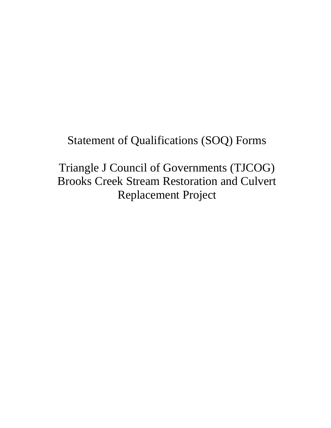# Statement of Qualifications (SOQ) Forms

Triangle J Council of Governments (TJCOG) Brooks Creek Stream Restoration and Culvert Replacement Project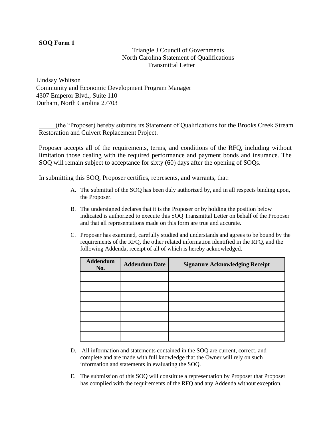#### Triangle J Council of Governments North Carolina Statement of Qualifications Transmittal Letter

Lindsay Whitson Community and Economic Development Program Manager 4307 Emperor Blvd., Suite 110 Durham, North Carolina 27703

(the "Proposer) hereby submits its Statement of Qualifications for the Brooks Creek Stream Restoration and Culvert Replacement Project.

Proposer accepts all of the requirements, terms, and conditions of the RFQ, including without limitation those dealing with the required performance and payment bonds and insurance. The SOQ will remain subject to acceptance for sixty (60) days after the opening of SOQs.

In submitting this SOQ, Proposer certifies, represents, and warrants, that:

- A. The submittal of the SOQ has been duly authorized by, and in all respects binding upon, the Proposer.
- B. The undersigned declares that it is the Proposer or by holding the position below indicated is authorized to execute this SOQ Transmittal Letter on behalf of the Proposer and that all representations made on this form are true and accurate.
- C. Proposer has examined, carefully studied and understands and agrees to be bound by the requirements of the RFQ, the other related information identified in the RFQ, and the following Addenda, receipt of all of which is hereby acknowledged.

| <b>Addendum</b><br>No. | <b>Addendum Date</b> | <b>Signature Acknowledging Receipt</b> |
|------------------------|----------------------|----------------------------------------|
|                        |                      |                                        |
|                        |                      |                                        |
|                        |                      |                                        |
|                        |                      |                                        |
|                        |                      |                                        |
|                        |                      |                                        |
|                        |                      |                                        |

- D. All information and statements contained in the SOQ are current, correct, and complete and are made with full knowledge that the Owner will rely on such information and statements in evaluating the SOQ.
- E. The submission of this SOQ will constitute a representation by Proposer that Proposer has complied with the requirements of the RFQ and any Addenda without exception.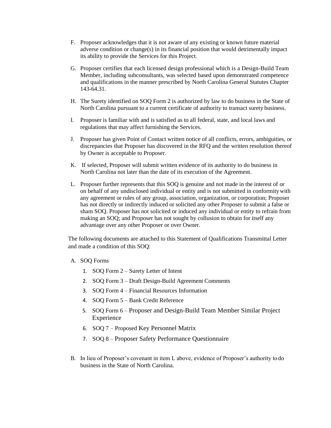- F. Proposer acknowledges that it is not aware of any existing or known future material adverse condition or change(s) in its financial position that would detrimentally impact its ability to provide the Services for this Project.
- G. Proposer certifies that each licensed design professional which is a Design-Build Team Member, including subconsultants, was selected based upon demonstrated competence and qualifications in the manner prescribed by North Carolina General Statutes Chapter 143-64.31.
- H. The Surety identified on SOQ Form 2 is authorized by law to do business in the State of North Carolina pursuant to a current certificate of authority to transact surety business.
- I. Proposer is familiar with and is satisfied as to all federal, state, and local laws and regulations that may affect furnishing the Services.
- J. Proposer has given Point of Contact written notice of all conflicts, errors, ambiguities, or discrepancies that Proposer has discovered in the RFQ and the written resolution thereof by Owner is acceptable to Proposer.
- K. If selected, Proposer will submit written evidence of its authority to do business in North Carolina not later than the date of its execution of the Agreement.
- L. Proposer further represents that this SOQ is genuine and not made in the interest of or on behalf of any undisclosed individual or entity and is not submitted in conformitywith any agreement or rules of any group, association, organization, or corporation; Proposer has not directly or indirectly induced or solicited any other Proposer to submit a false or sham SOQ. Proposer has not solicited or induced any individual or entity to refrain from making an SOQ; and Proposer has not sought by collusion to obtain for itself any advantage over any other Proposer or over Owner.

The following documents are attached to this Statement of Qualifications Transmittal Letter and made a condition of this SOQ:

- A. SOQ Forms
	- 1. SOQ Form 2 Surety Letter of Intent
	- 2. SOQ Form 3 Draft Design-Build Agreement Comments
	- 3. SOQ Form 4 Financial Resources Information
	- 4. SOQ Form 5 Bank Credit Reference
	- 5. SOQ Form 6 Proposer and Design-Build Team Member Similar Project Experience
	- 6. SOQ 7 Proposed Key Personnel Matrix
	- 7. SOQ 8 Proposer Safety Performance Questionnaire
- B. In lieu of Proposer's covenant in item L above, evidence of Proposer's authority to do business in the State of North Carolina.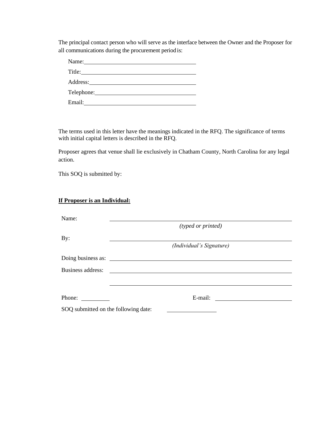The principal contact person who will serve as the interface between the Owner and the Proposer for all communications during the procurement period is:

| Name: $\frac{1}{2}$ |  |
|---------------------|--|
|                     |  |
|                     |  |
|                     |  |
| Email:              |  |

The terms used in this letter have the meanings indicated in the RFQ. The significance of terms with initial capital letters is described in the RFQ.

Proposer agrees that venue shall lie exclusively in Chatham County, North Carolina for any legal action.

This SOQ is submitted by:

#### **If Proposer is an Individual:**

| Name:                                |                          |  |
|--------------------------------------|--------------------------|--|
|                                      | (typed or printed)       |  |
| By:                                  |                          |  |
|                                      | (Individual's Signature) |  |
|                                      | Doing business as:       |  |
| Business address:                    |                          |  |
|                                      |                          |  |
| Phone:                               | E-mail:                  |  |
| SOQ submitted on the following date: |                          |  |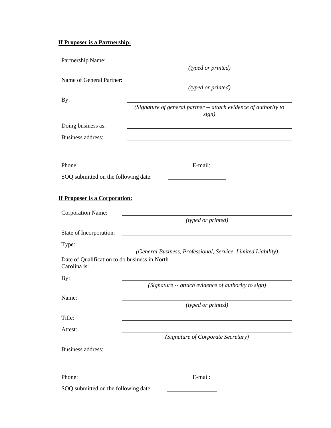# **If Proposer is a Partnership:**

| Partnership Name:                                             |                                                                                                                      |
|---------------------------------------------------------------|----------------------------------------------------------------------------------------------------------------------|
|                                                               | (typed or printed)                                                                                                   |
| Name of General Partner:                                      |                                                                                                                      |
|                                                               | (typed or printed)                                                                                                   |
| By:                                                           |                                                                                                                      |
|                                                               | (Signature of general partner -- attach evidence of authority to<br>sign)                                            |
| Doing business as:                                            |                                                                                                                      |
| <b>Business address:</b>                                      |                                                                                                                      |
|                                                               |                                                                                                                      |
|                                                               | and the control of the control of the control of the control of the control of the control of the control of the     |
| Phone:                                                        |                                                                                                                      |
| SOQ submitted on the following date:                          |                                                                                                                      |
|                                                               |                                                                                                                      |
| If Proposer is a Corporation:                                 |                                                                                                                      |
|                                                               |                                                                                                                      |
| <b>Corporation Name:</b>                                      | <u> 1980 - John Stein, marking and de Britain and de Britain and de Britain and de Britain and de Britain and de</u> |
|                                                               | (typed or printed)                                                                                                   |
| State of Incorporation:                                       |                                                                                                                      |
| Type:                                                         |                                                                                                                      |
|                                                               |                                                                                                                      |
|                                                               | (General Business, Professional, Service, Limited Liability)                                                         |
| Date of Qualification to do business in North<br>Carolina is: |                                                                                                                      |
| By:                                                           |                                                                                                                      |
|                                                               | (Signature -- attach evidence of authority to sign)                                                                  |
| Name:                                                         |                                                                                                                      |
|                                                               | (typed or printed)                                                                                                   |
| Title:                                                        |                                                                                                                      |
| Attest:                                                       |                                                                                                                      |
|                                                               | (Signature of Corporate Secretary)                                                                                   |
| <b>Business address:</b>                                      |                                                                                                                      |
|                                                               |                                                                                                                      |
| Phone:<br><u> 1990 - John Stein, mars and de la popula</u>    |                                                                                                                      |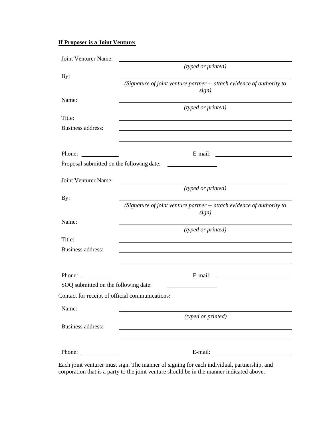## **If Proposer is a Joint Venture:**

| Joint Venturer Name:                            |                                                                                 |
|-------------------------------------------------|---------------------------------------------------------------------------------|
|                                                 | (typed or printed)                                                              |
| By:                                             | (Signature of joint venture partner -- attach evidence of authority to<br>sign) |
| Name:                                           |                                                                                 |
|                                                 | (typed or printed)                                                              |
| Title:                                          |                                                                                 |
| Business address:                               |                                                                                 |
|                                                 |                                                                                 |
| Phone:                                          | E-mail:<br><u> 1980 - Andrea Andrew Maria (h. 1980).</u>                        |
| Proposal submitted on the following date:       |                                                                                 |
|                                                 |                                                                                 |
| Joint Venturer Name:                            | (typed or printed)                                                              |
| By:                                             |                                                                                 |
|                                                 | (Signature of joint venture partner -- attach evidence of authority to<br>sign) |
| Name:                                           |                                                                                 |
|                                                 | (typed or printed)                                                              |
| Title:                                          |                                                                                 |
| Business address:                               |                                                                                 |
|                                                 |                                                                                 |
| Phone:                                          | E-mail:                                                                         |
| SOQ submitted on the following date:            |                                                                                 |
| Contact for receipt of official communications: |                                                                                 |
| Name:                                           |                                                                                 |
|                                                 | (typed or printed)                                                              |
| Business address:                               |                                                                                 |
|                                                 |                                                                                 |
| Phone:                                          | E-mail:                                                                         |

Each joint venturer must sign. The manner of signing for each individual, partnership, and corporation that is a party to the joint venture should be in the manner indicated above.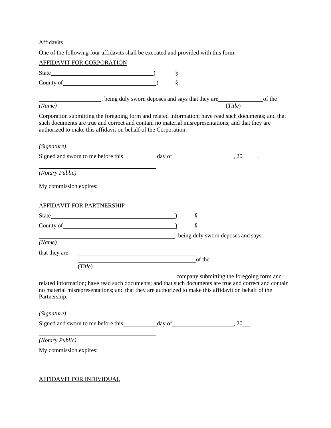Affidavits

One of the following four affidavits shall be executed and provided with this form.

| <b>AFFIDAVIT FOR CORPORATION</b>                                                                                                                                                                                                                                              |   |        |                                           |  |
|-------------------------------------------------------------------------------------------------------------------------------------------------------------------------------------------------------------------------------------------------------------------------------|---|--------|-------------------------------------------|--|
|                                                                                                                                                                                                                                                                               | § |        |                                           |  |
| County of <u>Countselland</u>                                                                                                                                                                                                                                                 | § |        |                                           |  |
| being duly sworn deposes and says that they are<br><u>Conference</u> of the                                                                                                                                                                                                   |   |        |                                           |  |
| (Name)                                                                                                                                                                                                                                                                        |   |        | (Title)                                   |  |
| Corporation submitting the foregoing form and related information; have read such documents; and that<br>such documents are true and correct and contain no material misrepresentations; and that they are<br>authorized to make this affidavit on behalf of the Corporation. |   |        |                                           |  |
| (Signature)                                                                                                                                                                                                                                                                   |   |        |                                           |  |
|                                                                                                                                                                                                                                                                               |   |        |                                           |  |
| (Notary Public)                                                                                                                                                                                                                                                               |   |        |                                           |  |
| My commission expires:                                                                                                                                                                                                                                                        |   |        |                                           |  |
| <b>AFFIDAVIT FOR PARTNERSHIP</b>                                                                                                                                                                                                                                              |   |        |                                           |  |
|                                                                                                                                                                                                                                                                               |   | §      |                                           |  |
|                                                                                                                                                                                                                                                                               |   | §      |                                           |  |
| being duly sworn deposes and says                                                                                                                                                                                                                                             |   |        |                                           |  |
| (Name)                                                                                                                                                                                                                                                                        |   |        |                                           |  |
| that they are                                                                                                                                                                                                                                                                 |   |        |                                           |  |
| (Title)                                                                                                                                                                                                                                                                       |   | of the |                                           |  |
|                                                                                                                                                                                                                                                                               |   |        | company submitting the foregoing form and |  |
| related information; have read such documents; and that such documents are true and correct and contain<br>no material misrepresentations; and that they are authorized to make this affidavit on behalf of the<br>Partnership.                                               |   |        |                                           |  |
| (Signature)                                                                                                                                                                                                                                                                   |   |        |                                           |  |
|                                                                                                                                                                                                                                                                               |   |        |                                           |  |
| (Notary Public)                                                                                                                                                                                                                                                               |   |        |                                           |  |
| My commission expires:                                                                                                                                                                                                                                                        |   |        |                                           |  |
|                                                                                                                                                                                                                                                                               |   |        |                                           |  |

AFFIDAVIT FOR INDIVIDUAL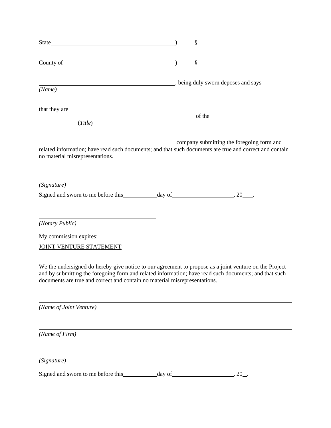|                                                                                                                                                                                                                                                                                               | §                                         |
|-----------------------------------------------------------------------------------------------------------------------------------------------------------------------------------------------------------------------------------------------------------------------------------------------|-------------------------------------------|
|                                                                                                                                                                                                                                                                                               | $\S$                                      |
| being duly sworn deposes and says<br>(Name)                                                                                                                                                                                                                                                   |                                           |
| that they are<br><u> 1989 - Johann Barn, mars ar breithinn ar breithinn ar breithinn ar breithinn ar breithinn ar breithinn ar br</u>                                                                                                                                                         | of the                                    |
| (Title)                                                                                                                                                                                                                                                                                       |                                           |
| related information; have read such documents; and that such documents are true and correct and contain<br>no material misrepresentations.                                                                                                                                                    | company submitting the foregoing form and |
| the control of the control of the control of the control of the control of the control of<br>(Signature)                                                                                                                                                                                      |                                           |
|                                                                                                                                                                                                                                                                                               |                                           |
| (Notary Public)                                                                                                                                                                                                                                                                               |                                           |
| My commission expires:                                                                                                                                                                                                                                                                        |                                           |
| JOINT VENTURE STATEMENT                                                                                                                                                                                                                                                                       |                                           |
| We the undersigned do hereby give notice to our agreement to propose as a joint venture on the Project<br>and by submitting the foregoing form and related information; have read such documents; and that such<br>documents are true and correct and contain no material misrepresentations. |                                           |
| (Name of Joint Venture)                                                                                                                                                                                                                                                                       |                                           |
| (Name of Firm)                                                                                                                                                                                                                                                                                |                                           |
| (Signature)                                                                                                                                                                                                                                                                                   |                                           |
|                                                                                                                                                                                                                                                                                               |                                           |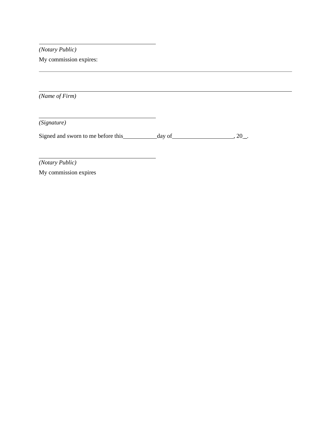*(Notary Public)*

My commission expires:

*(Name of Firm)*

*(Signature)*

Signed and sworn to me before this day of , 20 \_.

*(Notary Public)*

My commission expires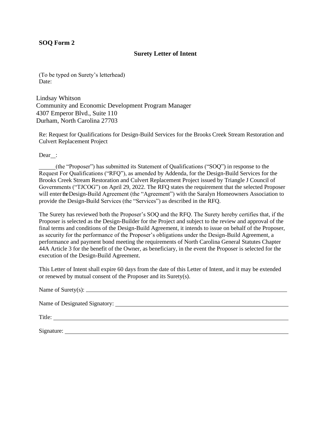#### **Surety Letter of Intent**

(To be typed on Surety's letterhead) Date:

Lindsay Whitson Community and Economic Development Program Manager 4307 Emperor Blvd., Suite 110 Durham, North Carolina 27703

Re: Request for Qualifications for Design-Build Services for the Brooks Creek Stream Restoration and Culvert Replacement Project

Dear :

(the "Proposer") has submitted its Statement of Qualifications ("SOQ") in response to the Request For Qualifications ("RFQ"), as amended by Addenda, for the Design-Build Services for the Brooks Creek Stream Restoration and Culvert Replacement Project issued by Triangle J Council of Governments ("TJCOG") on April 29, 2022. The RFQ states the requirement that the selected Proposer will enter the Design-Build Agreement (the "Agreement") with the Saralyn Homeowners Association to provide the Design-Build Services (the "Services") as described in the RFQ.

The Surety has reviewed both the Proposer's SOQ and the RFQ. The Surety hereby certifies that, if the Proposer is selected as the Design-Builder for the Project and subject to the review and approval of the final terms and conditions of the Design-Build Agreement, it intends to issue on behalf of the Proposer, as security for the performance of the Proposer's obligations under the Design-Build Agreement, a performance and payment bond meeting the requirements of North Carolina General Statutes Chapter 44A Article 3 for the benefit of the Owner, as beneficiary, in the event the Proposer is selected for the execution of the Design-Build Agreement.

This Letter of Intent shall expire 60 days from the date of this Letter of Intent, and it may be extended or renewed by mutual consent of the Proposer and its Surety(s).

| Name of Surety(s): $\frac{1}{2}$ Manner of Surety(s): $\frac{1}{2}$ Manner of Surety(s): |  |
|------------------------------------------------------------------------------------------|--|
|                                                                                          |  |
| Title:                                                                                   |  |
| Signature:                                                                               |  |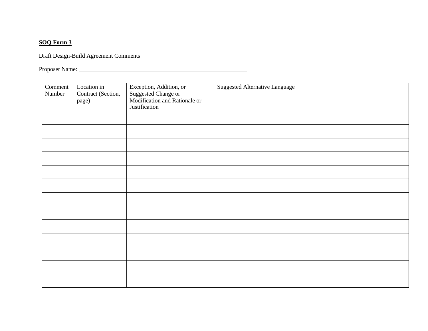Draft Design-Build Agreement Comments

Proposer Name:

| Comment<br>Number | Location in<br>Contract (Section,<br>page) | Exception, Addition, or<br>Suggested Change or<br>Modification and Rationale or<br>Justification | <b>Suggested Alternative Language</b> |
|-------------------|--------------------------------------------|--------------------------------------------------------------------------------------------------|---------------------------------------|
|                   |                                            |                                                                                                  |                                       |
|                   |                                            |                                                                                                  |                                       |
|                   |                                            |                                                                                                  |                                       |
|                   |                                            |                                                                                                  |                                       |
|                   |                                            |                                                                                                  |                                       |
|                   |                                            |                                                                                                  |                                       |
|                   |                                            |                                                                                                  |                                       |
|                   |                                            |                                                                                                  |                                       |
|                   |                                            |                                                                                                  |                                       |
|                   |                                            |                                                                                                  |                                       |
|                   |                                            |                                                                                                  |                                       |
|                   |                                            |                                                                                                  |                                       |
|                   |                                            |                                                                                                  |                                       |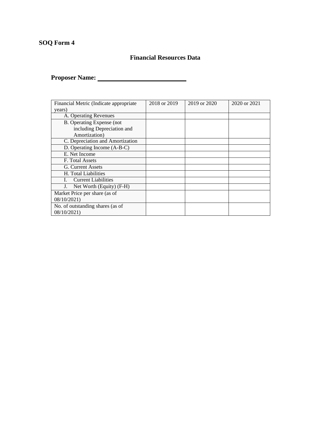## **Financial Resources Data**

**Proposer Name:**

| Financial Metric (Indicate appropriate | 2018 or 2019 | 2019 or 2020 | 2020 or 2021 |
|----------------------------------------|--------------|--------------|--------------|
| years)                                 |              |              |              |
| A. Operating Revenues                  |              |              |              |
| B. Operating Expense (not              |              |              |              |
| including Depreciation and             |              |              |              |
| Amortization)                          |              |              |              |
| C. Depreciation and Amortization       |              |              |              |
| D. Operating Income (A-B-C)            |              |              |              |
| E. Net Income                          |              |              |              |
| F. Total Assets                        |              |              |              |
| G. Current Assets                      |              |              |              |
| H. Total Liabilities                   |              |              |              |
| <b>Current Liabilities</b>             |              |              |              |
| Net Worth (Equity) (F-H)               |              |              |              |
| Market Price per share (as of          |              |              |              |
| 08/10/2021)                            |              |              |              |
| No. of outstanding shares (as of       |              |              |              |
| 08/10/2021)                            |              |              |              |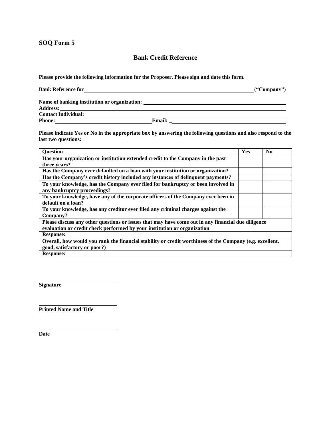#### **Bank Credit Reference**

**Please provide the following information for the Proposer. Please sign and date this form.**

| <b>Bank Reference for</b>                    | (Company) |
|----------------------------------------------|-----------|
| Name of banking institution or organization: |           |

**Address:**<br>**Address:** 

| Address:                   |               |
|----------------------------|---------------|
| <b>Contact Individual:</b> |               |
| <b>Phone:</b>              | <b>Email:</b> |

**Please indicate Yes or No in the appropriate box by answering the following questions and also respond to the last two questions:**

| <b>Question</b>                                                                                          | Yes | N <sub>0</sub> |
|----------------------------------------------------------------------------------------------------------|-----|----------------|
| Has your organization or institution extended credit to the Company in the past                          |     |                |
| three years?                                                                                             |     |                |
| Has the Company ever defaulted on a loan with your institution or organization?                          |     |                |
| Has the Company's credit history included any instances of delinquent payments?                          |     |                |
| To your knowledge, has the Company ever filed for bankruptcy or been involved in                         |     |                |
| any bankruptcy proceedings?                                                                              |     |                |
| To your knowledge, have any of the corporate officers of the Company ever been in                        |     |                |
| default on a loan?                                                                                       |     |                |
| To your knowledge, has any creditor ever filed any criminal charges against the                          |     |                |
| Company?                                                                                                 |     |                |
| Please discuss any other questions or issues that may have come out in any financial due diligence       |     |                |
| evaluation or credit check performed by your institution or organization                                 |     |                |
| <b>Response:</b>                                                                                         |     |                |
| Overall, how would you rank the financial stability or credit worthiness of the Company (e.g. excellent, |     |                |
| good, satisfactory or poor?)                                                                             |     |                |
| <b>Response:</b>                                                                                         |     |                |

**Signature**

**Printed Name and Title**

**Date**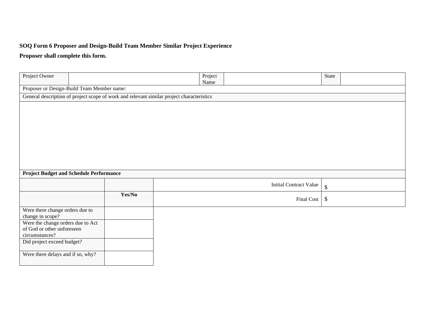#### **SOQ Form 6 Proposer and Design-Build Team Member Similar Project Experience**

## **Proposer shall complete this form.**

| Project Owner                                                                             |        | Project<br>Name |                               | State                     |  |
|-------------------------------------------------------------------------------------------|--------|-----------------|-------------------------------|---------------------------|--|
| Proposer or Design-Build Team Member name:                                                |        |                 |                               |                           |  |
| General description of project scope of work and relevant similar project characteristics |        |                 |                               |                           |  |
|                                                                                           |        |                 |                               |                           |  |
|                                                                                           |        |                 |                               |                           |  |
|                                                                                           |        |                 |                               |                           |  |
|                                                                                           |        |                 |                               |                           |  |
|                                                                                           |        |                 |                               |                           |  |
|                                                                                           |        |                 |                               |                           |  |
|                                                                                           |        |                 |                               |                           |  |
|                                                                                           |        |                 |                               |                           |  |
|                                                                                           |        |                 |                               |                           |  |
| <b>Project Budget and Schedule Performance</b>                                            |        |                 |                               |                           |  |
|                                                                                           |        |                 | <b>Initial Contract Value</b> | $\boldsymbol{\mathsf{S}}$ |  |
|                                                                                           | Yes/No |                 |                               | \$                        |  |
|                                                                                           |        |                 | <b>Final Cost</b>             |                           |  |
| Were there change orders due to<br>change in scope?                                       |        |                 |                               |                           |  |
| Were the change orders due to Act                                                         |        |                 |                               |                           |  |
| of God or other unforeseen                                                                |        |                 |                               |                           |  |
| circumstances?<br>Did project exceed budget?                                              |        |                 |                               |                           |  |
|                                                                                           |        |                 |                               |                           |  |
| Were there delays and if so, why?                                                         |        |                 |                               |                           |  |
|                                                                                           |        |                 |                               |                           |  |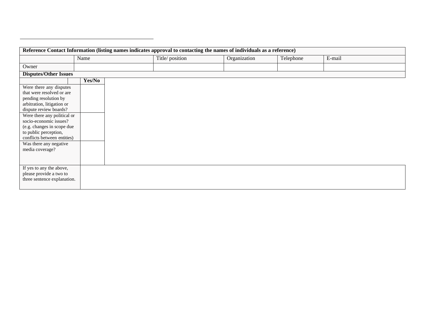| Reference Contact Information (listing names indicates approval to contacting the names of individuals as a reference)                                                                                                                                                                                                            |        |  |                |              |           |        |  |  |
|-----------------------------------------------------------------------------------------------------------------------------------------------------------------------------------------------------------------------------------------------------------------------------------------------------------------------------------|--------|--|----------------|--------------|-----------|--------|--|--|
|                                                                                                                                                                                                                                                                                                                                   | Name   |  | Title/position | Organization | Telephone | E-mail |  |  |
| Owner                                                                                                                                                                                                                                                                                                                             |        |  |                |              |           |        |  |  |
| <b>Disputes/Other Issues</b>                                                                                                                                                                                                                                                                                                      |        |  |                |              |           |        |  |  |
|                                                                                                                                                                                                                                                                                                                                   | Yes/No |  |                |              |           |        |  |  |
| Were there any disputes<br>that were resolved or are<br>pending resolution by<br>arbitration, litigation or<br>dispute review boards?<br>Were there any political or<br>socio-economic issues?<br>(e.g. changes in scope due<br>to public perception,<br>conflicts between entities)<br>Was there any negative<br>media coverage? |        |  |                |              |           |        |  |  |
| If yes to any the above,<br>please provide a two to<br>three sentence explanation.                                                                                                                                                                                                                                                |        |  |                |              |           |        |  |  |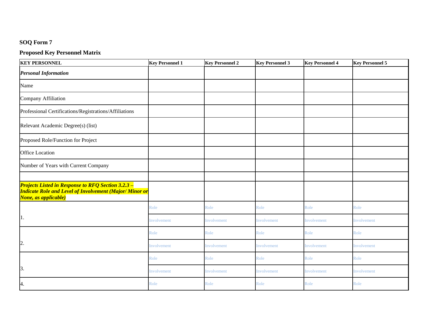## **Proposed Key Personnel Matrix**

| <b>KEY PERSONNEL</b>                                                                                                                                | <b>Key Personnel 1</b> | <b>Key Personnel 2</b> | <b>Key Personnel 3</b> | <b>Key Personnel 4</b> | <b>Key Personnel 5</b> |  |
|-----------------------------------------------------------------------------------------------------------------------------------------------------|------------------------|------------------------|------------------------|------------------------|------------------------|--|
| <b>Personal Information</b>                                                                                                                         |                        |                        |                        |                        |                        |  |
| Name                                                                                                                                                |                        |                        |                        |                        |                        |  |
| Company Affiliation                                                                                                                                 |                        |                        |                        |                        |                        |  |
| Professional Certifications/Registrations/Affiliations                                                                                              |                        |                        |                        |                        |                        |  |
| Relevant Academic Degree(s) (list)                                                                                                                  |                        |                        |                        |                        |                        |  |
| Proposed Role/Function for Project                                                                                                                  |                        |                        |                        |                        |                        |  |
| <b>Office Location</b>                                                                                                                              |                        |                        |                        |                        |                        |  |
| Number of Years with Current Company                                                                                                                |                        |                        |                        |                        |                        |  |
|                                                                                                                                                     |                        |                        |                        |                        |                        |  |
| <b>Projects Listed in Response to RFQ Section 3.2.3 -</b><br><b>Indicate Role and Level of Involvement (Major/ Minor or</b><br>None, as applicable) |                        |                        |                        |                        |                        |  |
|                                                                                                                                                     | Role                   | Role                   | Role                   | Role                   | Role                   |  |
| 1.                                                                                                                                                  | Involvement            | Involvement            | Involvement            | Involvement            | Involvement            |  |
|                                                                                                                                                     | Role                   | Role                   | Role                   | Role                   | Role                   |  |
| $\overline{2}$ .                                                                                                                                    | Involvement            | Involvement            | Involvement            | Involvement            | Involvement            |  |
|                                                                                                                                                     | Role                   | Role                   | Role                   | Role                   | Role                   |  |
| 3.                                                                                                                                                  | Involvement            | Involvement            | Involvement            | Involvement            | Involvement            |  |
| 4.                                                                                                                                                  | Role                   | Role                   | Role                   | Role                   | Role                   |  |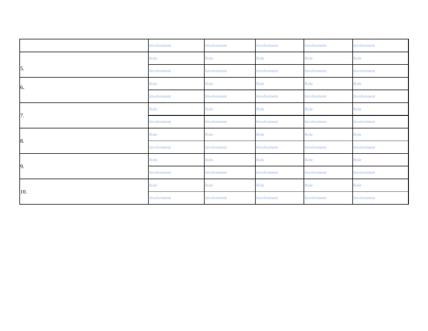|            | Involvement | Involvement | Involvement | Involvement | Involvement |
|------------|-------------|-------------|-------------|-------------|-------------|
|            | Role        | Role        | Role        | Role        | Role        |
| $\vert$ 5. | Involvement | Involvement | Involvement | Involvement | Involvement |
| 6.         | Role        | Role        | Role        | Role        | Role        |
|            | Involvement | Involvement | Involvement | Involvement | Involvement |
| 7.         | Role        | Role        | Role        | Role        | Role        |
|            | Involvement | Involvement | Involvement | Involvement | Involvement |
| 8.         | Role        | Role        | Role        | Role        | Role        |
|            | Involvement | Involvement | Involvement | Involvement | Involvement |
|            | Role        | Role        | Role        | Role        | Role        |
| 9.         | Involvement | Involvement | Involvement | Involvement | Involvement |
| 10.        | Role        | Role        | Role        | Role        | Role        |
|            | Involvement | Involvement | Involvement | Involvement | Involvement |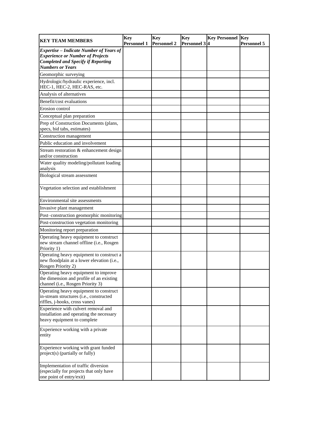| <b>KEY TEAM MEMBERS</b>                                                                                               | <b>Key</b><br><b>Personnel 1</b> | <b>Key</b><br><b>Personnel 2</b> | <b>Key</b><br>Personnel 3 <sup>4</sup> | <b>Key Personnel</b> | <b>Key</b><br><b>Personnel 5</b> |
|-----------------------------------------------------------------------------------------------------------------------|----------------------------------|----------------------------------|----------------------------------------|----------------------|----------------------------------|
| <b>Expertise</b> – Indicate Number of Years of                                                                        |                                  |                                  |                                        |                      |                                  |
| <b>Experience or Number of Projects</b><br><b>Completed and Specify if Reporting</b>                                  |                                  |                                  |                                        |                      |                                  |
| <b>Numbers or Years</b>                                                                                               |                                  |                                  |                                        |                      |                                  |
| Geomorphic surveying                                                                                                  |                                  |                                  |                                        |                      |                                  |
| Hydrologic/hydraulic experience, incl.<br>HEC-1, HEC-2, HEC-RAS, etc.                                                 |                                  |                                  |                                        |                      |                                  |
| Analysis of alternatives                                                                                              |                                  |                                  |                                        |                      |                                  |
| Benefit/cost evaluations                                                                                              |                                  |                                  |                                        |                      |                                  |
| Erosion control                                                                                                       |                                  |                                  |                                        |                      |                                  |
| Conceptual plan preparation                                                                                           |                                  |                                  |                                        |                      |                                  |
| Prep of Construction Documents (plans,<br>specs, bid tabs, estimates)                                                 |                                  |                                  |                                        |                      |                                  |
| Construction management                                                                                               |                                  |                                  |                                        |                      |                                  |
| Public education and involvement                                                                                      |                                  |                                  |                                        |                      |                                  |
| Stream restoration & enhancement design<br>and/or construction                                                        |                                  |                                  |                                        |                      |                                  |
| Water quality modeling/pollutant loading<br>analysis                                                                  |                                  |                                  |                                        |                      |                                  |
| Biological stream assessment                                                                                          |                                  |                                  |                                        |                      |                                  |
| Vegetation selection and establishment                                                                                |                                  |                                  |                                        |                      |                                  |
| Environmental site assessments                                                                                        |                                  |                                  |                                        |                      |                                  |
| Invasive plant management                                                                                             |                                  |                                  |                                        |                      |                                  |
| Post-construction geomorphic monitoring                                                                               |                                  |                                  |                                        |                      |                                  |
| Post-construction vegetation monitoring                                                                               |                                  |                                  |                                        |                      |                                  |
| Monitoring report preparation                                                                                         |                                  |                                  |                                        |                      |                                  |
| Operating heavy equipment to construct<br>new stream channel offline (i.e., Rosgen<br>Priority 1)                     |                                  |                                  |                                        |                      |                                  |
| Operating heavy equipment to construct a<br>new floodplain at a lower elevation (i.e.,<br>Rosgen Priority 2)          |                                  |                                  |                                        |                      |                                  |
| Operating heavy equipment to improve<br>the dimension and profile of an existing<br>channel (i.e., Rosgen Priority 3) |                                  |                                  |                                        |                      |                                  |
| Operating heavy equipment to construct<br>in-stream structures (i.e., constructed<br>riffles, j-hooks, cross vanes)   |                                  |                                  |                                        |                      |                                  |
| Experience with culvert removal and<br>installation and operating the necessary<br>heavy equipment to complete        |                                  |                                  |                                        |                      |                                  |
| Experience working with a private<br>entity                                                                           |                                  |                                  |                                        |                      |                                  |
| Experience working with grant funded<br>project(s) (partially or fully)                                               |                                  |                                  |                                        |                      |                                  |
| Implementation of traffic diversion<br>(especially for projects that only have<br>one point of entry/exit)            |                                  |                                  |                                        |                      |                                  |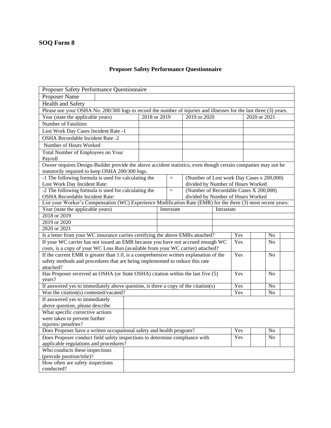## **Proposer Safety Performance Questionnaire**

| Proposer Safety Performance Questionnaire                                                                                                      |              |  |            |                                        |            |     |                                           |  |  |
|------------------------------------------------------------------------------------------------------------------------------------------------|--------------|--|------------|----------------------------------------|------------|-----|-------------------------------------------|--|--|
| <b>Proposer Name</b>                                                                                                                           |              |  |            |                                        |            |     |                                           |  |  |
| <b>Health and Safety</b>                                                                                                                       |              |  |            |                                        |            |     |                                           |  |  |
| Please use your OSHA No. 200/300 logs to record the number of injuries and illnesses for the last three (3) years.                             |              |  |            |                                        |            |     |                                           |  |  |
| Year (state the applicable years)                                                                                                              | 2018 or 2019 |  |            | 2019 or 2020                           |            |     | 2020 or 2021                              |  |  |
| <b>Number of Fatalities</b>                                                                                                                    |              |  |            |                                        |            |     |                                           |  |  |
| Lost Work Day Cases Incident Rate -1                                                                                                           |              |  |            |                                        |            |     |                                           |  |  |
| <b>OSHA</b> Recordable Incident Rate -2                                                                                                        |              |  |            |                                        |            |     |                                           |  |  |
| Number of Hours Worked                                                                                                                         |              |  |            |                                        |            |     |                                           |  |  |
| Total Number of Employees on Your                                                                                                              |              |  |            |                                        |            |     |                                           |  |  |
| Payroll                                                                                                                                        |              |  |            |                                        |            |     |                                           |  |  |
| Owner requires Design-Builder provide the above accident statistics, even though certain companies may not be                                  |              |  |            |                                        |            |     |                                           |  |  |
| statutorily required to keep OSHA 200/300 logs.                                                                                                |              |  |            |                                        |            |     |                                           |  |  |
| -1 The following formula is used for calculating the                                                                                           |              |  | $\equiv$   |                                        |            |     | (Number of Lost work Day Cases x 200,000) |  |  |
| Lost Work Day Incident Rate:                                                                                                                   |              |  |            | divided by Number of Hours Worked      |            |     |                                           |  |  |
| -2 The following formula is used for calculating the                                                                                           |              |  | $\equiv$   | (Number of Recordable Cases X 200,000) |            |     |                                           |  |  |
| OSHA Recordable Incident Rate:<br>List your Worker's Compensation (WC) Experience Modification Rate (EMR) for the three (3) most recent years: |              |  |            | divided by Number of Hours Worked      |            |     |                                           |  |  |
| Year (state the applicable years)                                                                                                              |              |  | Interstate |                                        | Intrastate |     |                                           |  |  |
| 2018 or 2019                                                                                                                                   |              |  |            |                                        |            |     |                                           |  |  |
| 2019 or 2020                                                                                                                                   |              |  |            |                                        |            |     |                                           |  |  |
| 2020 or 2021                                                                                                                                   |              |  |            |                                        |            |     |                                           |  |  |
| Is a letter from your WC insurance carries certifying the above EMRs attached?                                                                 |              |  | Yes        | N <sub>o</sub>                         |            |     |                                           |  |  |
| If your WC carrier has not issued an EMR because you have not accrued enough WC                                                                |              |  |            |                                        |            | Yes | N <sub>o</sub>                            |  |  |
| costs, is a copy of your WC Loss Run (available from your WC carrier) attached?                                                                |              |  |            |                                        |            |     |                                           |  |  |
| If the current EMR is greater than 1.0, is a comprehensive written explanation of the                                                          |              |  |            |                                        |            | Yes | No                                        |  |  |
| safety methods and procedures that are being implemented to reduce this rate                                                                   |              |  |            |                                        |            |     |                                           |  |  |
| attached?                                                                                                                                      |              |  |            |                                        |            |     |                                           |  |  |
| Has Proposer received an OSHA (or State OSHA) citation within the last five (5)                                                                |              |  |            |                                        |            | Yes | N <sub>o</sub>                            |  |  |
| years?                                                                                                                                         |              |  |            |                                        |            |     |                                           |  |  |
| If answered yes to immediately above question, is there a copy of the citation(s)                                                              |              |  |            |                                        |            | Yes | N <sub>o</sub>                            |  |  |
| Was the citation(s) contested/vacated?                                                                                                         |              |  |            |                                        |            | Yes | N <sub>o</sub>                            |  |  |
| If answered yes to immediately                                                                                                                 |              |  |            |                                        |            |     |                                           |  |  |
| above question, please describe<br>What specific corrective actions                                                                            |              |  |            |                                        |            |     |                                           |  |  |
| were taken to prevent further                                                                                                                  |              |  |            |                                        |            |     |                                           |  |  |
| injuries/penalties?                                                                                                                            |              |  |            |                                        |            |     |                                           |  |  |
| Does Proposer have a written occupational safety and health program?                                                                           |              |  |            |                                        |            | Yes | No                                        |  |  |
| Does Proposer conduct field safety inspections to determine compliance with                                                                    |              |  |            |                                        |            | Yes | No                                        |  |  |
| applicable regulations and procedures?                                                                                                         |              |  |            |                                        |            |     |                                           |  |  |
| Who conducts these inspections                                                                                                                 |              |  |            |                                        |            |     |                                           |  |  |
| (provide position/title)?                                                                                                                      |              |  |            |                                        |            |     |                                           |  |  |
| How often are safety inspections                                                                                                               |              |  |            |                                        |            |     |                                           |  |  |
| conducted?                                                                                                                                     |              |  |            |                                        |            |     |                                           |  |  |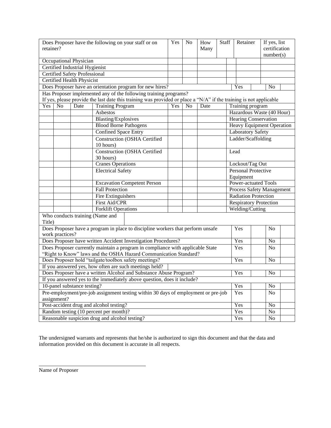| Does Proposer have the following on your staff or on<br>retainer?                                                  |                                                                  |                                      | Yes                                                                               | N <sub>o</sub> | How<br>Many    | <b>Staff</b> |     | Retainer                      |                          | If yes, list<br>certification<br>number(s) |                                  |  |
|--------------------------------------------------------------------------------------------------------------------|------------------------------------------------------------------|--------------------------------------|-----------------------------------------------------------------------------------|----------------|----------------|--------------|-----|-------------------------------|--------------------------|--------------------------------------------|----------------------------------|--|
|                                                                                                                    |                                                                  | Occupational Physician               |                                                                                   |                |                |              |     |                               |                          |                                            |                                  |  |
|                                                                                                                    |                                                                  | Certified Industrial Hygienist       |                                                                                   |                |                |              |     |                               |                          |                                            |                                  |  |
|                                                                                                                    |                                                                  | <b>Certified Safety Professional</b> |                                                                                   |                |                |              |     |                               |                          |                                            |                                  |  |
|                                                                                                                    |                                                                  | Certified Health Physicist           |                                                                                   |                |                |              |     |                               |                          |                                            |                                  |  |
|                                                                                                                    |                                                                  |                                      | Does Proposer have an orientation program for new hires?                          |                |                |              |     | Yes                           |                          |                                            | N <sub>0</sub>                   |  |
|                                                                                                                    | Has Proposer implemented any of the following training programs? |                                      |                                                                                   |                |                |              |     |                               |                          |                                            |                                  |  |
| If yes, please provide the last date this training was provided or place a "N/A" if the training is not applicable |                                                                  |                                      |                                                                                   |                |                |              |     |                               |                          |                                            |                                  |  |
| Yes                                                                                                                | N <sub>o</sub>                                                   | Date                                 | <b>Training Program</b>                                                           | Yes            | N <sub>0</sub> | Date         |     |                               | Training program         |                                            |                                  |  |
|                                                                                                                    |                                                                  |                                      | Asbestos                                                                          |                |                |              |     |                               |                          |                                            | Hazardous Waste (40 Hour)        |  |
|                                                                                                                    |                                                                  |                                      | <b>Blasting/Explosives</b>                                                        |                |                |              |     |                               |                          |                                            | <b>Hearing Conservation</b>      |  |
|                                                                                                                    |                                                                  |                                      | <b>Blood Borne Pathogens</b>                                                      |                |                |              |     |                               |                          |                                            | <b>Heavy Equipment Operation</b> |  |
|                                                                                                                    |                                                                  |                                      | <b>Confined Space Entry</b>                                                       |                |                |              |     |                               | <b>Laboratory Safety</b> |                                            |                                  |  |
|                                                                                                                    |                                                                  |                                      | <b>Construction (OSHA Certified</b>                                               |                |                |              |     |                               | Ladder/Scaffolding       |                                            |                                  |  |
|                                                                                                                    |                                                                  |                                      | 10 hours)                                                                         |                |                |              |     |                               |                          |                                            |                                  |  |
|                                                                                                                    |                                                                  |                                      | <b>Construction (OSHA Certified</b>                                               |                |                |              |     | Lead                          |                          |                                            |                                  |  |
|                                                                                                                    |                                                                  |                                      | 30 hours)                                                                         |                |                |              |     |                               |                          |                                            |                                  |  |
|                                                                                                                    |                                                                  |                                      | <b>Cranes Operations</b>                                                          |                |                |              |     | Lockout/Tag Out               |                          |                                            |                                  |  |
|                                                                                                                    |                                                                  |                                      | <b>Electrical Safety</b>                                                          |                |                |              |     | Personal Protective           |                          |                                            |                                  |  |
|                                                                                                                    |                                                                  |                                      |                                                                                   |                |                |              |     |                               | Equipment                |                                            |                                  |  |
|                                                                                                                    |                                                                  |                                      | <b>Excavation Competent Person</b>                                                |                |                |              |     | Power-actuated Tools          |                          |                                            |                                  |  |
|                                                                                                                    |                                                                  |                                      | <b>Fall Protection</b>                                                            |                |                |              |     | Process Safety Management     |                          |                                            |                                  |  |
|                                                                                                                    |                                                                  |                                      | <b>Fire Extinguishers</b>                                                         |                |                |              |     | <b>Radiation Protection</b>   |                          |                                            |                                  |  |
|                                                                                                                    |                                                                  |                                      | <b>First Aid/CPR</b>                                                              |                |                |              |     | <b>Respiratory Protection</b> |                          |                                            |                                  |  |
|                                                                                                                    |                                                                  |                                      | <b>Forklift Operations</b>                                                        |                |                |              |     |                               | Welding/Cutting          |                                            |                                  |  |
|                                                                                                                    |                                                                  |                                      | Who conducts training (Name and                                                   |                |                |              |     |                               |                          |                                            |                                  |  |
| Title)                                                                                                             |                                                                  |                                      |                                                                                   |                |                |              |     |                               |                          |                                            |                                  |  |
|                                                                                                                    |                                                                  |                                      | Does Proposer have a program in place to discipline workers that perform unsafe   |                |                |              |     | Yes                           |                          |                                            | No                               |  |
|                                                                                                                    | work practices?                                                  |                                      |                                                                                   |                |                |              |     |                               |                          |                                            |                                  |  |
|                                                                                                                    |                                                                  |                                      | Does Proposer have written Accident Investigation Procedures?                     |                |                |              |     | Yes                           |                          |                                            | N <sub>o</sub>                   |  |
|                                                                                                                    |                                                                  |                                      | Does Proposer currently maintain a program in compliance with applicable State    |                |                |              |     | Yes                           |                          |                                            | N <sub>0</sub>                   |  |
|                                                                                                                    |                                                                  |                                      | "Right to Know" laws and the OSHA Hazard Communication Standard?                  |                |                |              |     |                               |                          |                                            |                                  |  |
|                                                                                                                    |                                                                  |                                      | Does Proposer hold "tailgate/toolbox safety meetings?                             |                |                |              |     | Yes                           |                          |                                            | No                               |  |
|                                                                                                                    |                                                                  |                                      | If you answered yes, how often are such meetings held?                            |                |                |              |     |                               |                          |                                            |                                  |  |
|                                                                                                                    |                                                                  |                                      | Does Proposer have a written Alcohol and Substance Abuse Program?                 |                |                |              |     | Yes                           |                          |                                            | N <sub>0</sub>                   |  |
|                                                                                                                    |                                                                  |                                      | If you answered yes to the immediately above question, does it include?           |                |                |              |     |                               |                          |                                            |                                  |  |
|                                                                                                                    |                                                                  | 10-panel substance testing?          |                                                                                   |                |                |              |     | Yes                           |                          |                                            | N <sub>o</sub>                   |  |
|                                                                                                                    |                                                                  |                                      | Pre-employment/pre-job assignment testing within 30 days of employment or pre-job |                |                |              |     | Yes                           |                          |                                            | No                               |  |
|                                                                                                                    | assignment?                                                      |                                      |                                                                                   |                |                |              |     |                               |                          |                                            |                                  |  |
|                                                                                                                    |                                                                  |                                      | Post-accident drug and alcohol testing?                                           |                |                |              |     | Yes                           |                          |                                            | N <sub>o</sub>                   |  |
|                                                                                                                    |                                                                  |                                      | Random testing (10 percent per month)?                                            |                |                |              |     | Yes                           |                          |                                            | N <sub>0</sub>                   |  |
|                                                                                                                    | Reasonable suspicion drug and alcohol testing?                   |                                      |                                                                                   |                |                |              | Yes |                               |                          | N <sub>0</sub>                             |                                  |  |

The undersigned warrants and represents that he/she is authorized to sign this document and that the data and information provided on this document is accurate in all respects.

Name of Proposer